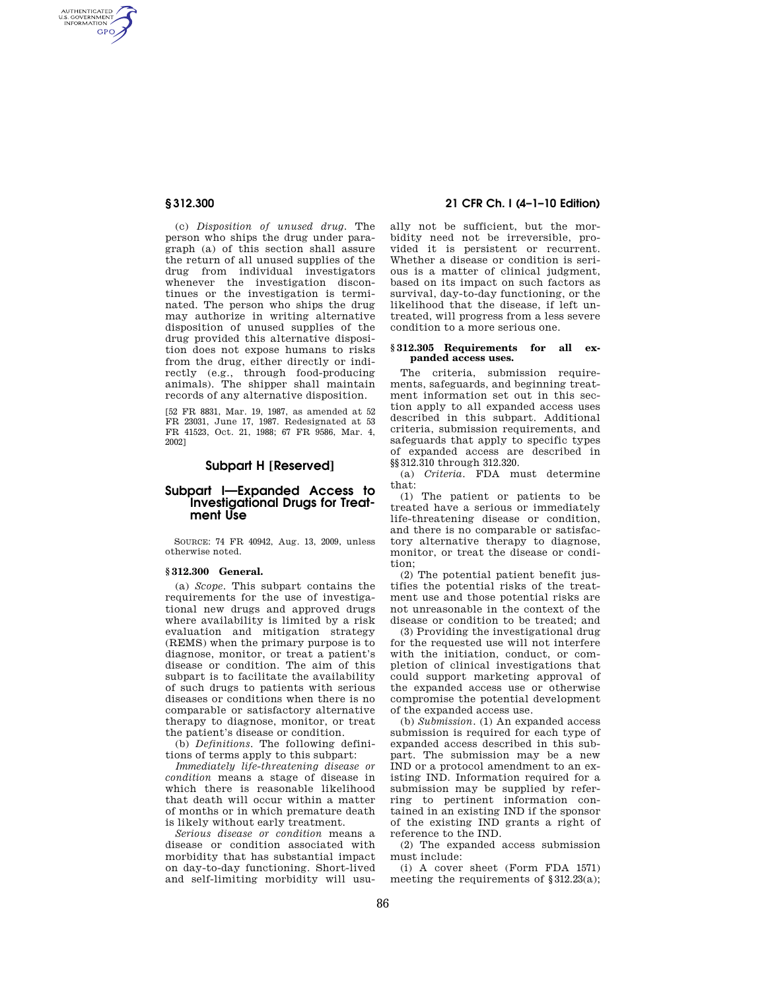AUTHENTICATED<br>U.S. GOVERNMENT<br>INFORMATION **GPO** 

> (c) *Disposition of unused drug.* The person who ships the drug under paragraph (a) of this section shall assure the return of all unused supplies of the drug from individual investigators whenever the investigation discontinues or the investigation is terminated. The person who ships the drug may authorize in writing alternative disposition of unused supplies of the drug provided this alternative disposition does not expose humans to risks from the drug, either directly or indirectly (e.g., through food-producing animals). The shipper shall maintain records of any alternative disposition.

[52 FR 8831, Mar. 19, 1987, as amended at 52 FR 23031, June 17, 1987. Redesignated at 53 FR 41523, Oct. 21, 1988; 67 FR 9586, Mar. 4, 2002]

# **Subpart H [Reserved]**

# **Subpart I—Expanded Access to Investigational Drugs for Treatment Use**

SOURCE: 74 FR 40942, Aug. 13, 2009, unless otherwise noted.

# **§ 312.300 General.**

(a) *Scope*. This subpart contains the requirements for the use of investigational new drugs and approved drugs where availability is limited by a risk evaluation and mitigation strategy (REMS) when the primary purpose is to diagnose, monitor, or treat a patient's disease or condition. The aim of this subpart is to facilitate the availability of such drugs to patients with serious diseases or conditions when there is no comparable or satisfactory alternative therapy to diagnose, monitor, or treat the patient's disease or condition.

(b) *Definitions*. The following definitions of terms apply to this subpart:

*Immediately life-threatening disease or condition* means a stage of disease in which there is reasonable likelihood that death will occur within a matter of months or in which premature death is likely without early treatment.

*Serious disease or condition* means a disease or condition associated with morbidity that has substantial impact on day-to-day functioning. Short-lived and self-limiting morbidity will usu-

# **§ 312.300 21 CFR Ch. I (4–1–10 Edition)**

ally not be sufficient, but the morbidity need not be irreversible, provided it is persistent or recurrent. Whether a disease or condition is serious is a matter of clinical judgment, based on its impact on such factors as survival, day-to-day functioning, or the likelihood that the disease, if left untreated, will progress from a less severe condition to a more serious one.

### **§ 312.305 Requirements for all expanded access uses.**

The criteria, submission requirements, safeguards, and beginning treatment information set out in this section apply to all expanded access uses described in this subpart. Additional criteria, submission requirements, and safeguards that apply to specific types of expanded access are described in §§312.310 through 312.320.

(a) *Criteria*. FDA must determine that:

(1) The patient or patients to be treated have a serious or immediately life-threatening disease or condition, and there is no comparable or satisfactory alternative therapy to diagnose, monitor, or treat the disease or condition;

(2) The potential patient benefit justifies the potential risks of the treatment use and those potential risks are not unreasonable in the context of the disease or condition to be treated; and

(3) Providing the investigational drug for the requested use will not interfere with the initiation, conduct, or completion of clinical investigations that could support marketing approval of the expanded access use or otherwise compromise the potential development of the expanded access use.

(b) *Submission*. (1) An expanded access submission is required for each type of expanded access described in this subpart. The submission may be a new IND or a protocol amendment to an existing IND. Information required for a submission may be supplied by referring to pertinent information contained in an existing IND if the sponsor of the existing IND grants a right of reference to the IND.

(2) The expanded access submission must include:

(i) A cover sheet (Form FDA 1571) meeting the requirements of §312.23(a);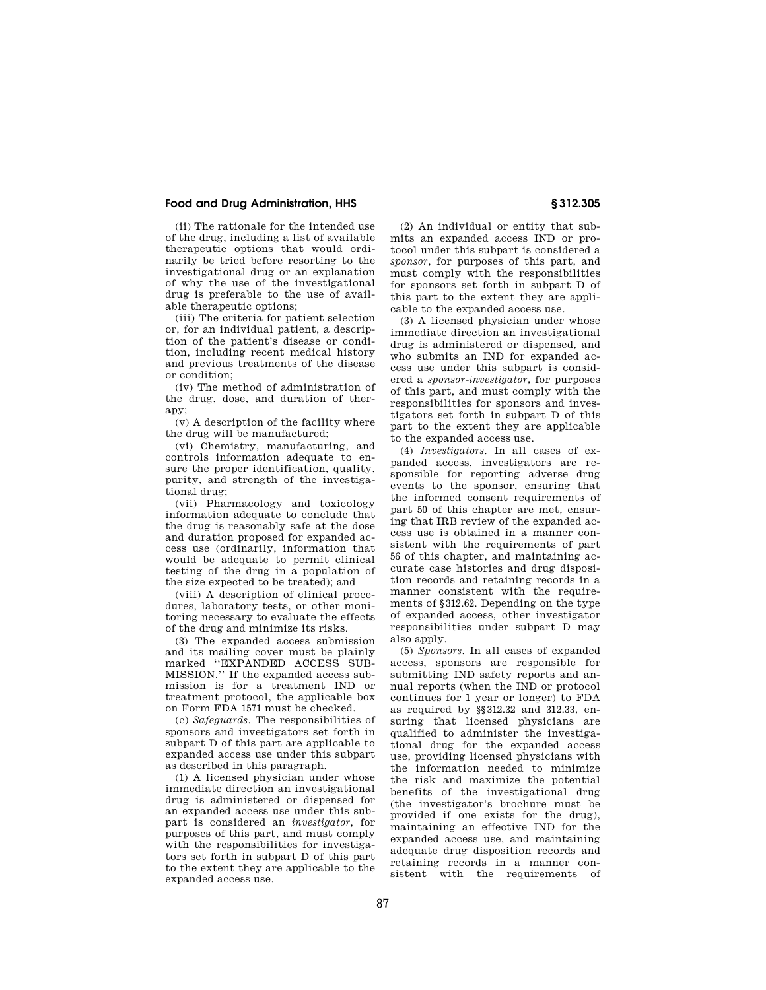# **Food and Drug Administration, HHS § 312.305**

(ii) The rationale for the intended use of the drug, including a list of available therapeutic options that would ordinarily be tried before resorting to the investigational drug or an explanation of why the use of the investigational drug is preferable to the use of available therapeutic options;

(iii) The criteria for patient selection or, for an individual patient, a description of the patient's disease or condition, including recent medical history and previous treatments of the disease or condition;

(iv) The method of administration of the drug, dose, and duration of ther $anv$ 

(v) A description of the facility where the drug will be manufactured;

(vi) Chemistry, manufacturing, and controls information adequate to ensure the proper identification, quality, purity, and strength of the investigational drug;

(vii) Pharmacology and toxicology information adequate to conclude that the drug is reasonably safe at the dose and duration proposed for expanded access use (ordinarily, information that would be adequate to permit clinical testing of the drug in a population of the size expected to be treated); and

(viii) A description of clinical procedures, laboratory tests, or other monitoring necessary to evaluate the effects of the drug and minimize its risks.

(3) The expanded access submission and its mailing cover must be plainly marked ''EXPANDED ACCESS SUB-MISSION.'' If the expanded access submission is for a treatment IND or treatment protocol, the applicable box on Form FDA 1571 must be checked.

(c) *Safeguards*. The responsibilities of sponsors and investigators set forth in subpart D of this part are applicable to expanded access use under this subpart as described in this paragraph.

(1) A licensed physician under whose immediate direction an investigational drug is administered or dispensed for an expanded access use under this subpart is considered an *investigator*, for purposes of this part, and must comply with the responsibilities for investigators set forth in subpart D of this part to the extent they are applicable to the expanded access use.

(2) An individual or entity that submits an expanded access IND or protocol under this subpart is considered a *sponsor*, for purposes of this part, and must comply with the responsibilities for sponsors set forth in subpart D of this part to the extent they are applicable to the expanded access use.

(3) A licensed physician under whose immediate direction an investigational drug is administered or dispensed, and who submits an IND for expanded access use under this subpart is considered a *sponsor-investigator*, for purposes of this part, and must comply with the responsibilities for sponsors and investigators set forth in subpart D of this part to the extent they are applicable to the expanded access use.

(4) *Investigators*. In all cases of expanded access, investigators are responsible for reporting adverse drug events to the sponsor, ensuring that the informed consent requirements of part 50 of this chapter are met, ensuring that IRB review of the expanded access use is obtained in a manner consistent with the requirements of part 56 of this chapter, and maintaining accurate case histories and drug disposition records and retaining records in a manner consistent with the requirements of §312.62. Depending on the type of expanded access, other investigator responsibilities under subpart D may also apply.

(5) *Sponsors*. In all cases of expanded access, sponsors are responsible for submitting IND safety reports and annual reports (when the IND or protocol continues for 1 year or longer) to FDA as required by §§312.32 and 312.33, ensuring that licensed physicians are qualified to administer the investigational drug for the expanded access use, providing licensed physicians with the information needed to minimize the risk and maximize the potential benefits of the investigational drug (the investigator's brochure must be provided if one exists for the drug), maintaining an effective IND for the expanded access use, and maintaining adequate drug disposition records and retaining records in a manner consistent with the requirements of